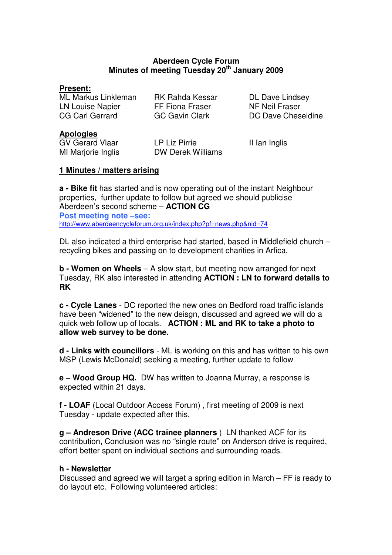## **Aberdeen Cycle Forum Minutes of meeting Tuesday 20th January 2009**

#### **Present:**

ML Markus Linkleman RK Rahda Kessar DL Dave Lindsey LN Louise Napier FF Fiona Fraser NF Neil Fraser CG Carl Gerrard GC Gavin Clark DC Dave Cheseldine

### **Apologies**

GV Gerard Vlaar LP Liz Pirrie II Ian Inglis MI Marjorie Inglis **DW Derek Williams** 

## **1 Minutes / matters arising**

**a - Bike fit** has started and is now operating out of the instant Neighbour properties, further update to follow but agreed we should publicise Aberdeen's second scheme – **ACTION CG Post meeting note –see:**  http://www.aberdeencycleforum.org.uk/index.php?pf=news.php&nid=74

DL also indicated a third enterprise had started, based in Middlefield church – recycling bikes and passing on to development charities in Arfica.

**b - Women on Wheels** – A slow start, but meeting now arranged for next Tuesday, RK also interested in attending **ACTION : LN to forward details to RK**

**c - Cycle Lanes** - DC reported the new ones on Bedford road traffic islands have been "widened" to the new deisgn, discussed and agreed we will do a quick web follow up of locals. **ACTION : ML and RK to take a photo to allow web survey to be done.**

**d - Links with councillors** - ML is working on this and has written to his own MSP (Lewis McDonald) seeking a meeting, further update to follow

**e – Wood Group HQ.** DW has written to Joanna Murray, a response is expected within 21 days.

**f - LOAF** (Local Outdoor Access Forum) , first meeting of 2009 is next Tuesday - update expected after this.

**g – Andreson Drive (ACC trainee planners** ) LN thanked ACF for its contribution, Conclusion was no "single route" on Anderson drive is required, effort better spent on individual sections and surrounding roads.

#### **h - Newsletter**

Discussed and agreed we will target a spring edition in March – FF is ready to do layout etc. Following volunteered articles: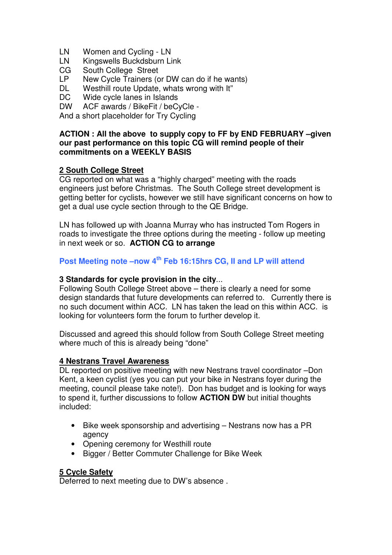- LN Women and Cycling LN
- LN Kingswells Buckdsburn Link
- CG South College Street
- LP New Cycle Trainers (or DW can do if he wants)
- DL Westhill route Update, whats wrong with It"<br>DC Wide cycle lanes in Islands
- DC Wide cycle lanes in Islands<br>DW ACF awards / BikeFit / beC
- ACF awards / BikeFit / beCyCle -

And a short placeholder for Try Cycling

#### **ACTION : All the above to supply copy to FF by END FEBRUARY –given our past performance on this topic CG will remind people of their commitments on a WEEKLY BASIS**

## **2 South College Street**

CG reported on what was a "highly charged" meeting with the roads engineers just before Christmas. The South College street development is getting better for cyclists, however we still have significant concerns on how to get a dual use cycle section through to the QE Bridge.

LN has followed up with Joanna Murray who has instructed Tom Rogers in roads to investigate the three options during the meeting - follow up meeting in next week or so. **ACTION CG to arrange**

# **Post Meeting note –now 4th Feb 16:15hrs CG, II and LP will attend**

#### **3 Standards for cycle provision in the city**...

Following South College Street above – there is clearly a need for some design standards that future developments can referred to. Currently there is no such document within ACC. LN has taken the lead on this within ACC. is looking for volunteers form the forum to further develop it.

Discussed and agreed this should follow from South College Street meeting where much of this is already being "done"

#### **4 Nestrans Travel Awareness**

DL reported on positive meeting with new Nestrans travel coordinator –Don Kent, a keen cyclist (yes you can put your bike in Nestrans foyer during the meeting, council please take note!). Don has budget and is looking for ways to spend it, further discussions to follow **ACTION DW** but initial thoughts included:

- Bike week sponsorship and advertising Nestrans now has a PR agency
- Opening ceremony for Westhill route
- Bigger / Better Commuter Challenge for Bike Week

#### **5 Cycle Safety**

Deferred to next meeting due to DW's absence .